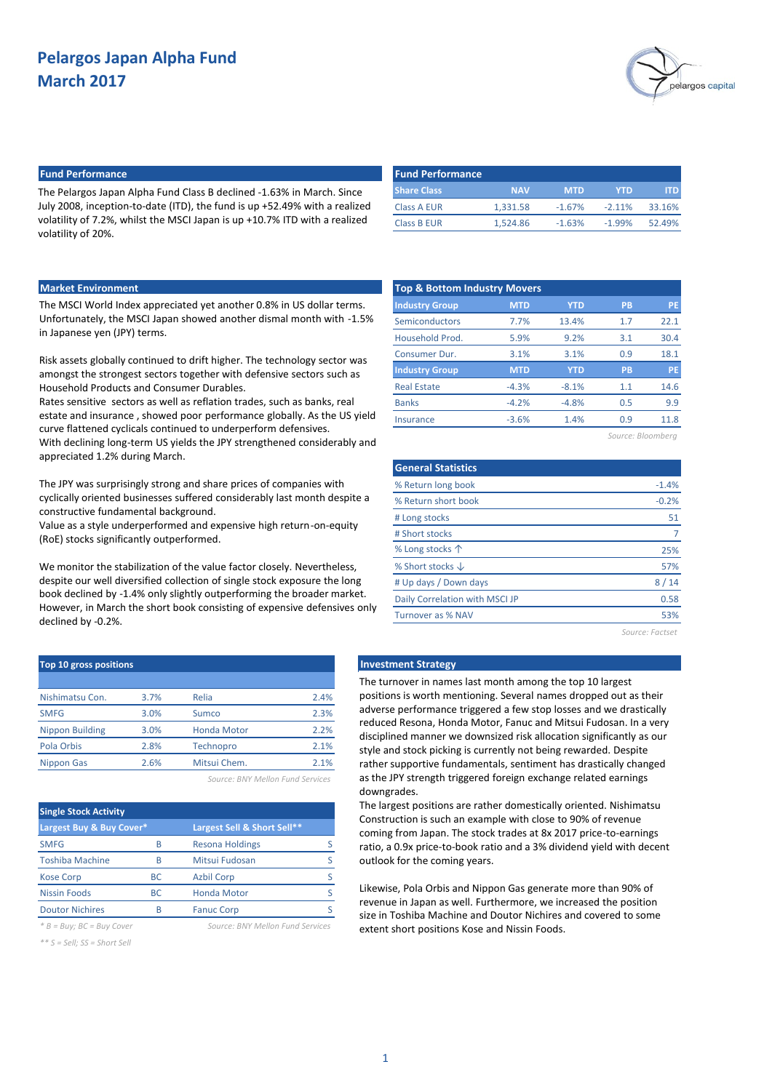

## **Fund Performance Fund Performance**

The Pelargos Japan Alpha Fund Class B declined -1.63% in March. Since July 2008, inception-to-date (ITD), the fund is up +52.49% with a realized volatility of 7.2%, whilst the MSCI Japan is up +10.7% ITD with a realized volatility of 20%.

| l Fund Performance |            |            |          |        |
|--------------------|------------|------------|----------|--------|
| <b>Share Class</b> | <b>NAV</b> | <b>MTD</b> | YTD      |        |
| Class A EUR        | 1.331.58   | $-1.67%$   | $-2.11%$ | 33.16% |
| <b>Class B EUR</b> | 1.524.86   | $-1.63%$   | $-1.99%$ | 52.49% |

### **Market Environment**

The MSCI World Index appreciated yet another 0.8% in US dollar terms. Unfortunately, the MSCI Japan showed another dismal month with -1.5% in Japanese yen (JPY) terms.

Risk assets globally continued to drift higher. The technology sector was amongst the strongest sectors together with defensive sectors such as Household Products and Consumer Durables.

Rates sensitive sectors as well as reflation trades, such as banks, real estate and insurance , showed poor performance globally. As the US yield curve flattened cyclicals continued to underperform defensives. With declining long-term US yields the JPY strengthened considerably and appreciated 1.2% during March.

The JPY was surprisingly strong and share prices of companies with cyclically oriented businesses suffered considerably last month despite a constructive fundamental background.

Value as a style underperformed and expensive high return-on-equity (RoE) stocks significantly outperformed.

We monitor the stabilization of the value factor closely. Nevertheless, despite our well diversified collection of single stock exposure the long book declined by -1.4% only slightly outperforming the broader market. However, in March the short book consisting of expensive defensives only declined by -0.2%.

| Top 10 gross positions |      |                    |      |
|------------------------|------|--------------------|------|
|                        |      |                    |      |
| Nishimatsu Con.        | 3.7% | Relia              | 2.4% |
| <b>SMFG</b>            | 3.0% | <b>Sumco</b>       | 2.3% |
| <b>Nippon Building</b> | 3.0% | <b>Honda Motor</b> | 2.2% |
| Pola Orbis             | 2.8% | Technopro          | 2.1% |
| <b>Nippon Gas</b>      | 2.6% | Mitsui Chem.       | 2.1% |
|                        |      |                    |      |

*Source: BNY Mellon Fund Services*

| <b>Single Stock Activity</b> |           |                             |  |  |  |  |
|------------------------------|-----------|-----------------------------|--|--|--|--|
| Largest Buy & Buy Cover*     |           | Largest Sell & Short Sell** |  |  |  |  |
| <b>SMFG</b>                  | B         | Resona Holdings             |  |  |  |  |
| <b>Toshiba Machine</b>       | B         | Mitsui Fudosan              |  |  |  |  |
| <b>Kose Corp</b>             | <b>BC</b> | <b>Azbil Corp</b>           |  |  |  |  |
| <b>Nissin Foods</b>          | <b>BC</b> | <b>Honda Motor</b>          |  |  |  |  |
| <b>Doutor Nichires</b>       | B         | <b>Fanuc Corp</b>           |  |  |  |  |
|                              |           |                             |  |  |  |  |

*\* B = Buy; BC = Buy Cover Source: BNY Mellon Fund Services*

*\*\* S = Sell; SS = Short Sell*

| <b>MTD</b> | <b>YTD</b> | PB                                      | <b>PE</b> |
|------------|------------|-----------------------------------------|-----------|
| 7.7%       | 13.4%      | 1.7                                     | 22.1      |
| 5.9%       | 9.2%       | 3.1                                     | 30.4      |
| 3.1%       | 3.1%       | 0.9                                     | 18.1      |
| <b>MTD</b> | <b>YTD</b> | PB                                      | <b>PE</b> |
| $-4.3%$    | $-8.1%$    | 1.1                                     | 14.6      |
| $-4.2%$    | $-4.8%$    | 0.5                                     | 9.9       |
| $-3.6%$    | 1.4%       | 0.9                                     | 11.8      |
|            |            | <b>Top &amp; Bottom Industry Movers</b> |           |

*Source: Bloomberg*

| <b>General Statistics</b>      |                 |
|--------------------------------|-----------------|
| % Return long book             | $-1.4%$         |
| % Return short book            | $-0.2%$         |
| # Long stocks                  | 51              |
| # Short stocks                 |                 |
| % Long stocks 个                | 25%             |
| % Short stocks $\downarrow$    | 57%             |
| # Up days / Down days          | 8/14            |
| Daily Correlation with MSCI JP | 0.58            |
| Turnover as % NAV              | 53%             |
|                                | Source: Factset |

## **Investment Strategy**

The turnover in names last month among the top 10 largest positions is worth mentioning. Several names dropped out as their adverse performance triggered a few stop losses and we drastically reduced Resona, Honda Motor, Fanuc and Mitsui Fudosan. In a very disciplined manner we downsized risk allocation significantly as our style and stock picking is currently not being rewarded. Despite rather supportive fundamentals, sentiment has drastically changed as the JPY strength triggered foreign exchange related earnings downgrades.

The largest positions are rather domestically oriented. Nishimatsu Construction is such an example with close to 90% of revenue coming from Japan. The stock trades at 8x 2017 price-to-earnings ratio, a 0.9x price-to-book ratio and a 3% dividend yield with decent outlook for the coming years.

Likewise, Pola Orbis and Nippon Gas generate more than 90% of revenue in Japan as well. Furthermore, we increased the position size in Toshiba Machine and Doutor Nichires and covered to some extent short positions Kose and Nissin Foods.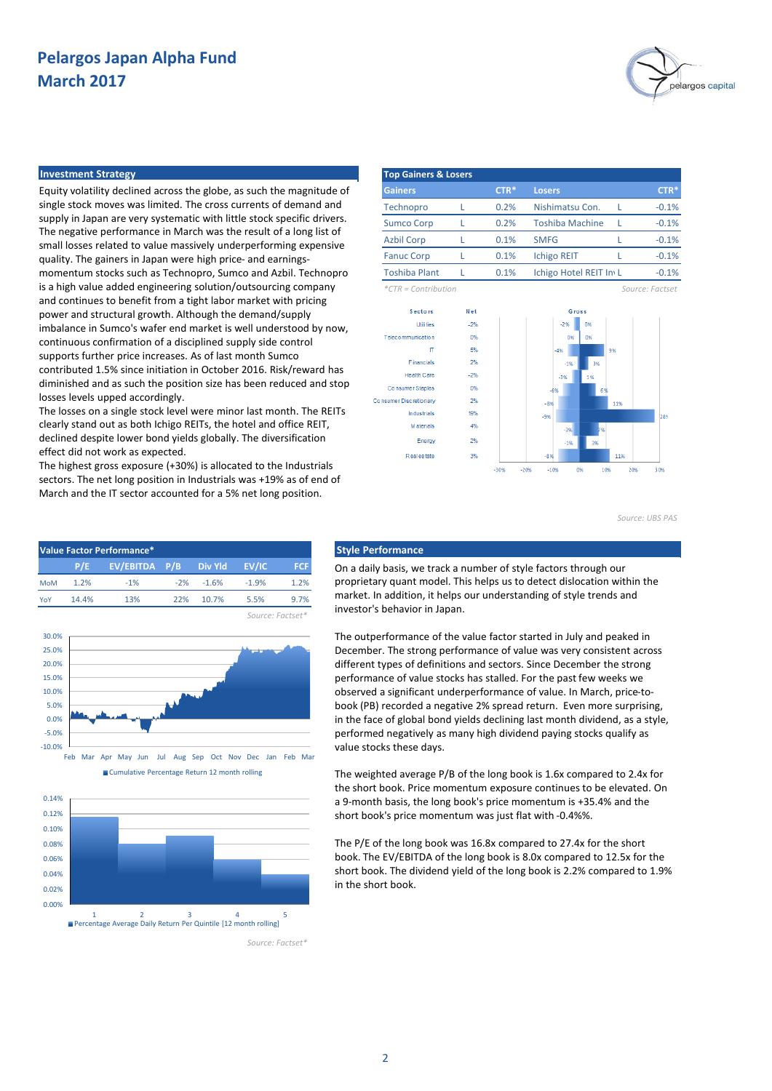

### **Investment Strategy Top Gainers & Losers**

Equity volatility declined across the globe, as such the magnitude of single stock moves was limited. The cross currents of demand and supply in Japan are very systematic with little stock specific drivers. The negative performance in March was the result of a long list of small losses related to value massively underperforming expensive quality. The gainers in Japan were high price- and earningsmomentum stocks such as Technopro, Sumco and Azbil. Technopro is a high value added engineering solution/outsourcing company and continues to benefit from a tight labor market with pricing power and structural growth. Although the demand/supply imbalance in Sumco's wafer end market is well understood by now, continuous confirmation of a disciplined supply side control supports further price increases. As of last month Sumco contributed 1.5% since initiation in October 2016. Risk/reward has diminished and as such the position size has been reduced and stop losses levels upped accordingly.

The losses on a single stock level were minor last month. The REITs clearly stand out as both Ichigo REITs, the hotel and office REIT, declined despite lower bond yields globally. The diversification effect did not work as expected.

The highest gross exposure (+30%) is allocated to the Industrials sectors. The net long position in Industrials was +19% as of end of March and the IT sector accounted for a 5% net long position.







**Gainers CTR\*** Losers Technopro L 0.2% Nishimatsu Con. L Sumco Corp L 0.2% Toshiba Machine L Azbil Corp L 0.1% SMFG L Fanuc Corp L 0.1% Ichigo REIT L Toshiba Plant L 0.1% Ichigo Hotel REIT Inv L 0.1% 0.1% **CTR\*** -0.1%  $-0.1%$  $-0.1%$ -0.1%  $-0.1%$ **CTR\*** 0.2% 0.2% 0.1%

*\*CTR = Contribution Source: Factset*



*Source: UBS PAS*

On a daily basis, we track a number of style factors through our proprietary quant model. This helps us to detect dislocation within the market. In addition, it helps our understanding of style trends and investor's behavior in Japan.

The outperformance of the value factor started in July and peaked in December. The strong performance of value was very consistent across different types of definitions and sectors. Since December the strong performance of value stocks has stalled. For the past few weeks we observed a significant underperformance of value. In March, price-tobook (PB) recorded a negative 2% spread return. Even more surprising, in the face of global bond yields declining last month dividend, as a style, performed negatively as many high dividend paying stocks qualify as value stocks these days.

The weighted average P/B of the long book is 1.6x compared to 2.4x for the short book. Price momentum exposure continues to be elevated. On a 9-month basis, the long book's price momentum is +35.4% and the short book's price momentum was just flat with -0.4%%.

The P/E of the long book was 16.8x compared to 27.4x for the short book. The EV/EBITDA of the long book is 8.0x compared to 12.5x for the short book. The dividend yield of the long book is 2.2% compared to 1.9% in the short book.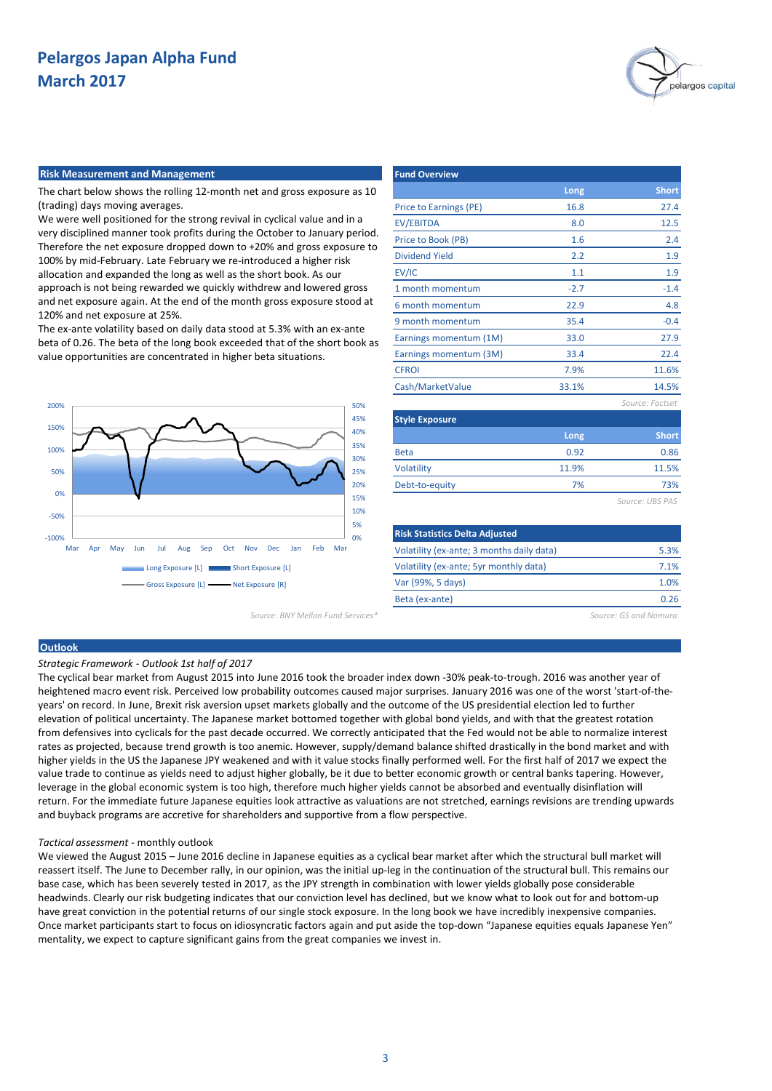

#### **Risk Measurement and Management**

The chart below shows the rolling 12-month net and gross exposure as 10 (trading) days moving averages.

We were well positioned for the strong revival in cyclical value and in a very disciplined manner took profits during the October to January period. Therefore the net exposure dropped down to +20% and gross exposure to 100% by mid-February. Late February we re-introduced a higher risk allocation and expanded the long as well as the short book. As our approach is not being rewarded we quickly withdrew and lowered gross and net exposure again. At the end of the month gross exposure stood at 120% and net exposure at 25%.

The ex-ante volatility based on daily data stood at 5.3% with an ex-ante beta of 0.26. The beta of the long book exceeded that of the short book as value opportunities are concentrated in higher beta situations.



*Source: BNY Mellon Fund Services\* Source: GS and Nomura*

| <b>Fund Overview</b>   |        |                 |
|------------------------|--------|-----------------|
|                        | Long   | <b>Short</b>    |
| Price to Earnings (PE) | 16.8   | 27.4            |
| <b>EV/EBITDA</b>       | 8.0    | 12.5            |
| Price to Book (PB)     | 1.6    | 2.4             |
| <b>Dividend Yield</b>  | 2.2    | 1.9             |
| EV/IC                  | 1.1    | 1.9             |
| 1 month momentum       | $-2.7$ | $-1.4$          |
| 6 month momentum       | 22.9   | 4.8             |
| 9 month momentum       | 35.4   | $-0.4$          |
| Earnings momentum (1M) | 33.0   | 27.9            |
| Earnings momentum (3M) | 33.4   | 22.4            |
| <b>CFROI</b>           | 7.9%   | 11.6%           |
| Cash/MarketValue       | 33.1%  | 14.5%           |
|                        |        | Source: Factset |
| <b>Style Exposure</b>  |        |                 |
|                        | Long   | <b>Short</b>    |
| <b>Beta</b>            | 0.92   | 0.86            |
| Volatility             | 11.9%  | 11.5%           |
| Debt-to-equity         | 7%     | 73%             |
|                        |        | Source: UBS PAS |
|                        |        |                 |

| <b>Risk Statistics Delta Adjusted</b>     |      |
|-------------------------------------------|------|
| Volatility (ex-ante; 3 months daily data) | 5.3% |
| Volatility (ex-ante; 5yr monthly data)    | 7.1% |
| Var (99%, 5 days)                         | 1.0% |
| Beta (ex-ante)                            | በ ንፍ |

## **Outlook**

*Strategic Framework - Outlook 1st half of 2017*

The cyclical bear market from August 2015 into June 2016 took the broader index down -30% peak-to-trough. 2016 was another year of heightened macro event risk. Perceived low probability outcomes caused major surprises. January 2016 was one of the worst 'start-of-theyears' on record. In June, Brexit risk aversion upset markets globally and the outcome of the US presidential election led to further elevation of political uncertainty. The Japanese market bottomed together with global bond yields, and with that the greatest rotation from defensives into cyclicals for the past decade occurred. We correctly anticipated that the Fed would not be able to normalize interest rates as projected, because trend growth is too anemic. However, supply/demand balance shifted drastically in the bond market and with higher yields in the US the Japanese JPY weakened and with it value stocks finally performed well. For the first half of 2017 we expect the value trade to continue as yields need to adjust higher globally, be it due to better economic growth or central banks tapering. However, leverage in the global economic system is too high, therefore much higher yields cannot be absorbed and eventually disinflation will return. For the immediate future Japanese equities look attractive as valuations are not stretched, earnings revisions are trending upwards and buyback programs are accretive for shareholders and supportive from a flow perspective.

#### *Tactical assessment* - monthly outlook

We viewed the August 2015 – June 2016 decline in Japanese equities as a cyclical bear market after which the structural bull market will reassert itself. The June to December rally, in our opinion, was the initial up-leg in the continuation of the structural bull. This remains our base case, which has been severely tested in 2017, as the JPY strength in combination with lower yields globally pose considerable headwinds. Clearly our risk budgeting indicates that our conviction level has declined, but we know what to look out for and bottom-up have great conviction in the potential returns of our single stock exposure. In the long book we have incredibly inexpensive companies. Once market participants start to focus on idiosyncratic factors again and put aside the top-down "Japanese equities equals Japanese Yen" mentality, we expect to capture significant gains from the great companies we invest in.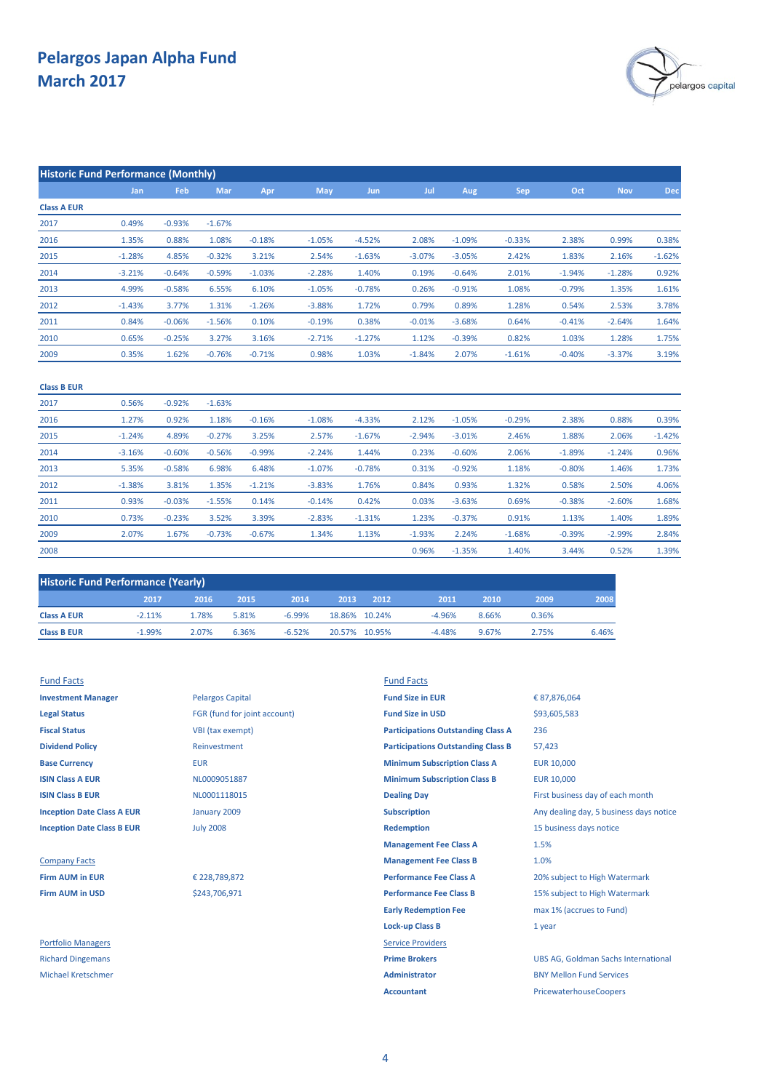

| <b>Historic Fund Performance (Monthly)</b> |            |          |          |          |          |          |          |          |          |          |            |          |
|--------------------------------------------|------------|----------|----------|----------|----------|----------|----------|----------|----------|----------|------------|----------|
|                                            | <b>Jan</b> | Feb      | Mar      | Apr      | May      | Jun      | Jul      | Aug      | Sep      | Oct      | <b>Nov</b> | Dec      |
| <b>Class A EUR</b>                         |            |          |          |          |          |          |          |          |          |          |            |          |
| 2017                                       | 0.49%      | $-0.93%$ | $-1.67%$ |          |          |          |          |          |          |          |            |          |
| 2016                                       | 1.35%      | 0.88%    | 1.08%    | $-0.18%$ | $-1.05%$ | $-4.52%$ | 2.08%    | $-1.09%$ | $-0.33%$ | 2.38%    | 0.99%      | 0.38%    |
| 2015                                       | $-1.28%$   | 4.85%    | $-0.32%$ | 3.21%    | 2.54%    | $-1.63%$ | $-3.07%$ | $-3.05%$ | 2.42%    | 1.83%    | 2.16%      | $-1.62%$ |
| 2014                                       | $-3.21%$   | $-0.64%$ | $-0.59%$ | $-1.03%$ | $-2.28%$ | 1.40%    | 0.19%    | $-0.64%$ | 2.01%    | $-1.94%$ | $-1.28%$   | 0.92%    |
| 2013                                       | 4.99%      | $-0.58%$ | 6.55%    | 6.10%    | $-1.05%$ | $-0.78%$ | 0.26%    | $-0.91%$ | 1.08%    | $-0.79%$ | 1.35%      | 1.61%    |
| 2012                                       | $-1.43%$   | 3.77%    | 1.31%    | $-1.26%$ | $-3.88%$ | 1.72%    | 0.79%    | 0.89%    | 1.28%    | 0.54%    | 2.53%      | 3.78%    |
| 2011                                       | 0.84%      | $-0.06%$ | $-1.56%$ | 0.10%    | $-0.19%$ | 0.38%    | $-0.01%$ | $-3.68%$ | 0.64%    | $-0.41%$ | $-2.64%$   | 1.64%    |
| 2010                                       | 0.65%      | $-0.25%$ | 3.27%    | 3.16%    | $-2.71%$ | $-1.27%$ | 1.12%    | $-0.39%$ | 0.82%    | 1.03%    | 1.28%      | 1.75%    |
| 2009                                       | 0.35%      | 1.62%    | $-0.76%$ | $-0.71%$ | 0.98%    | 1.03%    | $-1.84%$ | 2.07%    | $-1.61%$ | $-0.40%$ | $-3.37%$   | 3.19%    |
| <b>Class B EUR</b>                         |            |          |          |          |          |          |          |          |          |          |            |          |
| 2017                                       | 0.56%      | $-0.92%$ | $-1.63%$ |          |          |          |          |          |          |          |            |          |
| 2016                                       | 1.27%      | 0.92%    | 1.18%    | $-0.16%$ | $-1.08%$ | $-4.33%$ | 2.12%    | $-1.05%$ | $-0.29%$ | 2.38%    | 0.88%      | 0.39%    |
| 2015                                       | $-1.24%$   | 4.89%    | $-0.27%$ | 3.25%    | 2.57%    | $-1.67%$ | $-2.94%$ | $-3.01%$ | 2.46%    | 1.88%    | 2.06%      | $-1.42%$ |
| 2014                                       | $-3.16%$   | $-0.60%$ | $-0.56%$ | $-0.99%$ | $-2.24%$ | 1.44%    | 0.23%    | $-0.60%$ | 2.06%    | $-1.89%$ | $-1.24%$   | 0.96%    |
| 2013                                       | 5.35%      | $-0.58%$ | 6.98%    | 6.48%    | $-1.07%$ | $-0.78%$ | 0.31%    | $-0.92%$ | 1.18%    | $-0.80%$ | 1.46%      | 1.73%    |
| 2012                                       | $-1.38%$   | 3.81%    | 1.35%    | $-1.21%$ | $-3.83%$ | 1.76%    | 0.84%    | 0.93%    | 1.32%    | 0.58%    | 2.50%      | 4.06%    |
| 2011                                       | 0.93%      | $-0.03%$ | $-1.55%$ | 0.14%    | $-0.14%$ | 0.42%    | 0.03%    | $-3.63%$ | 0.69%    | $-0.38%$ | $-2.60%$   | 1.68%    |
| 2010                                       | 0.73%      | $-0.23%$ | 3.52%    | 3.39%    | $-2.83%$ | $-1.31%$ | 1.23%    | $-0.37%$ | 0.91%    | 1.13%    | 1.40%      | 1.89%    |
| 2009                                       | 2.07%      | 1.67%    | $-0.73%$ | $-0.67%$ | 1.34%    | 1.13%    | $-1.93%$ | 2.24%    | $-1.68%$ | $-0.39%$ | $-2.99%$   | 2.84%    |

| <b>Historic Fund Performance (Yearly)</b> |           |       |       |          |      |               |          |       |       |       |
|-------------------------------------------|-----------|-------|-------|----------|------|---------------|----------|-------|-------|-------|
|                                           | 2017      | 2016  | 2015  | 2014     | 2013 | 2012          | 2011     | 2010  | 2009  | 2008  |
| <b>Class A EUR</b>                        | $-2.11\%$ | 1.78% | 5.81% | $-6.99%$ |      | 18.86% 10.24% | $-4.96%$ | 8.66% | 0.36% |       |
| <b>Class B EUR</b>                        | $-1.99%$  | 2.07% | 6.36% | $-6.52%$ |      | 20.57% 10.95% | $-4.48%$ | 9.67% | 2.75% | 6.46% |

2008

| <b>Investment Manager</b>         |
|-----------------------------------|
| <b>Legal Status</b>               |
| <b>Fiscal Status</b>              |
| <b>Dividend Policy</b>            |
| <b>Base Currency</b>              |
| <b>ISIN Class A EUR</b>           |
| <b>ISIN Class B EUR</b>           |
| <b>Inception Date Class A EUR</b> |
| <b>Inception Date Class B EUR</b> |
|                                   |

**Investment Manager Investment Manager Pelargos Capital <b>Fund Size in EUR Legal Status** FGR (fund for joint account) **Fund Size in USD VBI** (tax exempt) **Dividend Policy** Reinvestment July 2008 January 2009

€ 228,789,872

\$243,706,971

Fund Facts Fund Facts **Base Currency <b>EUR** EUR **EUR EUR EUR EUR EUR EUR EUR EUR EUR EUR EUR EUR EUR EUR EUR EUR EUR EUR EUR EUR EUR EUR EUR EUR EUR EUR EUR EUR EUR EUR EUR EUR EUR ISIN Class A EUR EUR ISIN CLASS A EUR** 10,000 **MINIMUM Subscription Class B EUR** 10,000 **ISIN COLLECT B EUROL DEALING B EVALUATE DRAM** EVALUATE FIRST Business day of each month **Inception Subscription** Any dealing day, 5 business days notice **Redemption** 15 business days notice **Management Fee Class A Company Facts Company Facts Management Fee Class B Firm AUM in EUR EUR** € 228,789,872 **Performance Fee Class A** 20% subject to High Watermark **Firm AUM in USD Performance Fee Class B** 15% subject to High Watermark **See Strain Strain Strain Strain Strain Strain Strain Strain Strain Strain Strain Strain Strain Strain Strain Strain Strain Strain Strain Strain Str Early Redemption Fee** max 1% (accrues to Fund) **Lock-up Class B** 1 year Portfolio Managers **Service Providers** Richard Dingemans **Prime Brokers** UBS AG, Goldman Sachs International Michael Kretschmer **Administrator** BNY Mellon Fund Services **Accountant** PricewaterhouseCoopers € 87,876,064 236 57,423 \$93,605,583 **Participations Outstanding Class A** 1.5% 1.0% **Participations Outstanding Class B**

3.44%

0.52%

1.40%

0.96% -1.35% 1.39%